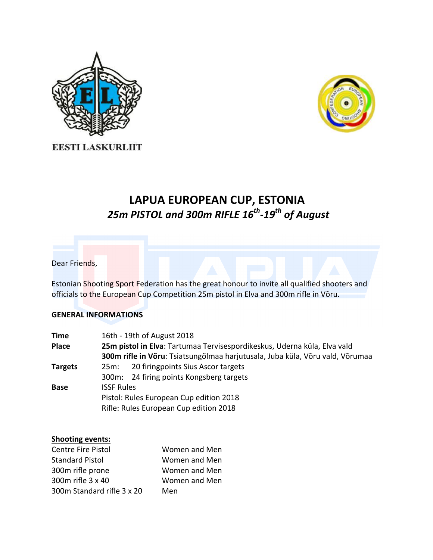



**EESTI LASKURLIIT** 

# LAPUA EUROPEAN CUP, ESTONIA *25m PISTOL and 300m RIFLE 16th-19th of August*

## Dear Friends,

Estonian Shooting Sport Federation has the great honour to invite all qualified shooters and officials to the European Cup Competition 25m pistol in Elva and 300m rifle in Võru.

## **GENERAL INFORMATIONS**

| 16th - 19th of August 2018                                                    |  |  |
|-------------------------------------------------------------------------------|--|--|
| 25m pistol in Elva: Tartumaa Tervisespordikeskus, Uderna küla, Elva vald      |  |  |
| 300m rifle in Võru: Tsiatsungõlmaa harjutusala, Juba küla, Võru vald, Võrumaa |  |  |
| 20 firingpoints Sius Ascor targets<br>25m:                                    |  |  |
| 300m: 24 firing points Kongsberg targets                                      |  |  |
| <b>ISSF Rules</b>                                                             |  |  |
| Pistol: Rules European Cup edition 2018                                       |  |  |
| Rifle: Rules European Cup edition 2018                                        |  |  |
|                                                                               |  |  |

#### **Shooting events:**

| <b>Centre Fire Pistol</b>  | Women and Men |
|----------------------------|---------------|
| <b>Standard Pistol</b>     | Women and Men |
| 300m rifle prone           | Women and Men |
| 300m rifle 3 x 40          | Women and Men |
| 300m Standard rifle 3 x 20 | Men           |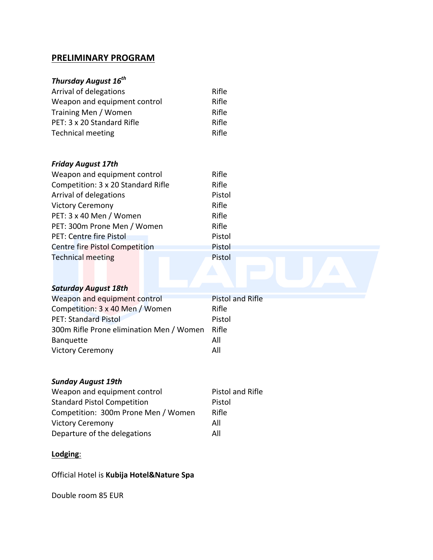## **PRELIMINARY PROGRAM**

# *Thursday August 16th*

| Arrival of delegations       | Rifle |
|------------------------------|-------|
| Weapon and equipment control | Rifle |
| Training Men / Women         | Rifle |
| PET: 3 x 20 Standard Rifle   | Rifle |
| <b>Technical meeting</b>     | Rifle |

## *Friday August 17th*

| Weapon and equipment control          | Rifle         |
|---------------------------------------|---------------|
| Competition: 3 x 20 Standard Rifle    | Rifle         |
| Arrival of delegations                | Pistol        |
| <b>Victory Ceremony</b>               | Rifle         |
| PET: 3 x 40 Men / Women               | Rifle         |
| PET: 300m Prone Men / Women           | Rifle         |
| PET: Centre fire Pistol               | Pistol        |
| <b>Centre fire Pistol Competition</b> | <b>Pistol</b> |
| <b>Technical meeting</b>              | Pistol        |

## **Saturday August 18th**

| Weapon and equipment control             | <b>Pistol and Rifle</b> |
|------------------------------------------|-------------------------|
| Competition: 3 x 40 Men / Women          | Rifle                   |
| <b>PET: Standard Pistol</b>              | Pistol                  |
| 300m Rifle Prone elimination Men / Women | Rifle                   |
| <b>Banquette</b>                         | All                     |
| <b>Victory Ceremony</b>                  | All                     |

## *Sunday August 19th*

| Weapon and equipment control        | <b>Pistol and Rifle</b> |
|-------------------------------------|-------------------------|
| <b>Standard Pistol Competition</b>  | Pistol                  |
| Competition: 300m Prone Men / Women | Rifle                   |
| <b>Victory Ceremony</b>             | All                     |
| Departure of the delegations        | All                     |

# **Lodging**:

Official Hotel is **Kubija Hotel&Nature Spa**

Double room 85 EUR